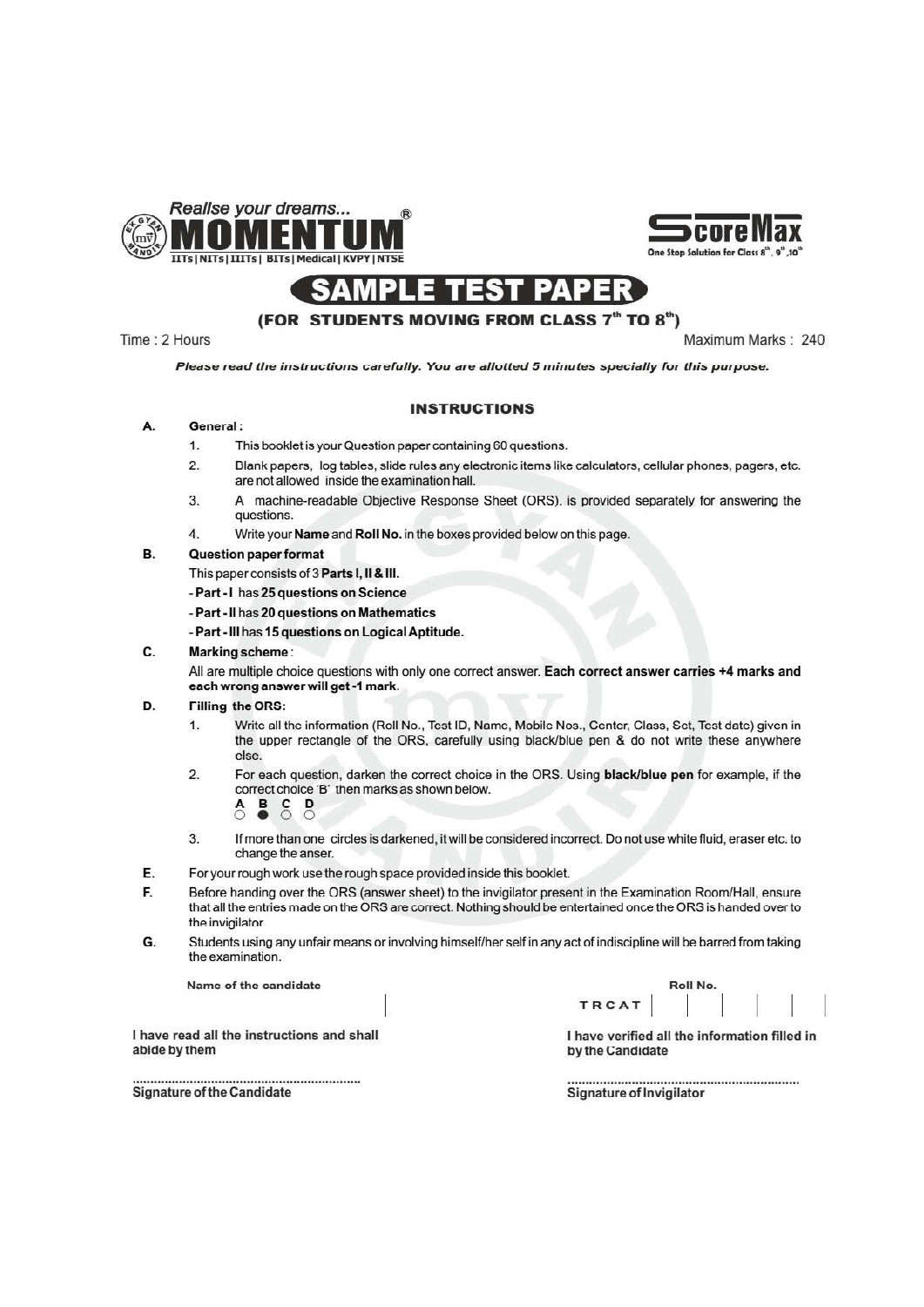





### (FOR STUDENTS MOVING FROM CLASS 7th TO 8th)

Time: 2 Hours

Maximum Marks: 240

Please read the instructions carefully. You are allotted 5 minutes specially for this purpose.

### **INSTRUCTIONS**

#### Α. General:

- $1.$ This booklet is your Question paper containing 60 questions.
- $2.$ Blank papers, log tables, slide rules any electronic items like calculators, cellular phones, pagers, etc. are not allowed inside the examination hall.
- 3. A machine-readable Objective Response Sheet (ORS), is provided separately for answering the questions.
- $\overline{4}$ Write your Name and Roll No. in the boxes provided below on this page.

#### B. **Question paper format**

This paper consists of 3 Parts I, II & III.

- Part - I has 25 questions on Science

- Part - Il has 20 questions on Mathematics

- Part - III has 15 questions on Logical Aptitude.

 $\mathbf{c}$ **Marking scheme** 

> All are multiple choice questions with only one correct answer. Each correct answer carries +4 marks and each wrong answer will get -1 mark.

#### D. Filling the ORS:

- Write all the information (Roll No., Test ID, Name, Mobile Nos., Center, Class, Set, Test date) given in  $\mathbf{1}$ the upper rectangle of the ORS, carefully using black/blue pen & do not write these anywhere else
- $2.$ For each question, darken the correct choice in the ORS. Using black/blue pen for example, if the correct choice 'B' then marks as shown below. D  $\mathbf c$ 
	-
- If more than one circles is darkened, it will be considered incorrect. Do not use white fluid, eraser etc. to  $3.$ change the anser.
- E. For your rough work use the rough space provided inside this booklet.
- Before handing over the ORS (answer sheet) to the invigilator present in the Examination Room/Hall, ensure F. that all the entries made on the ORS are correct. Nothing should be entertained once the ORS is handed over to the invigilator.
- G. Students using any unfair means or involving himself/her self in any act of indiscipline will be barred from taking the examination.

Name of the candidate

|       | Roll No. |
|-------|----------|
| TRCAT |          |

I have read all the instructions and shall abide by them

**Signature of the Candidate** 

I have verified all the information filled in by the Candidate

Signature of Invigilator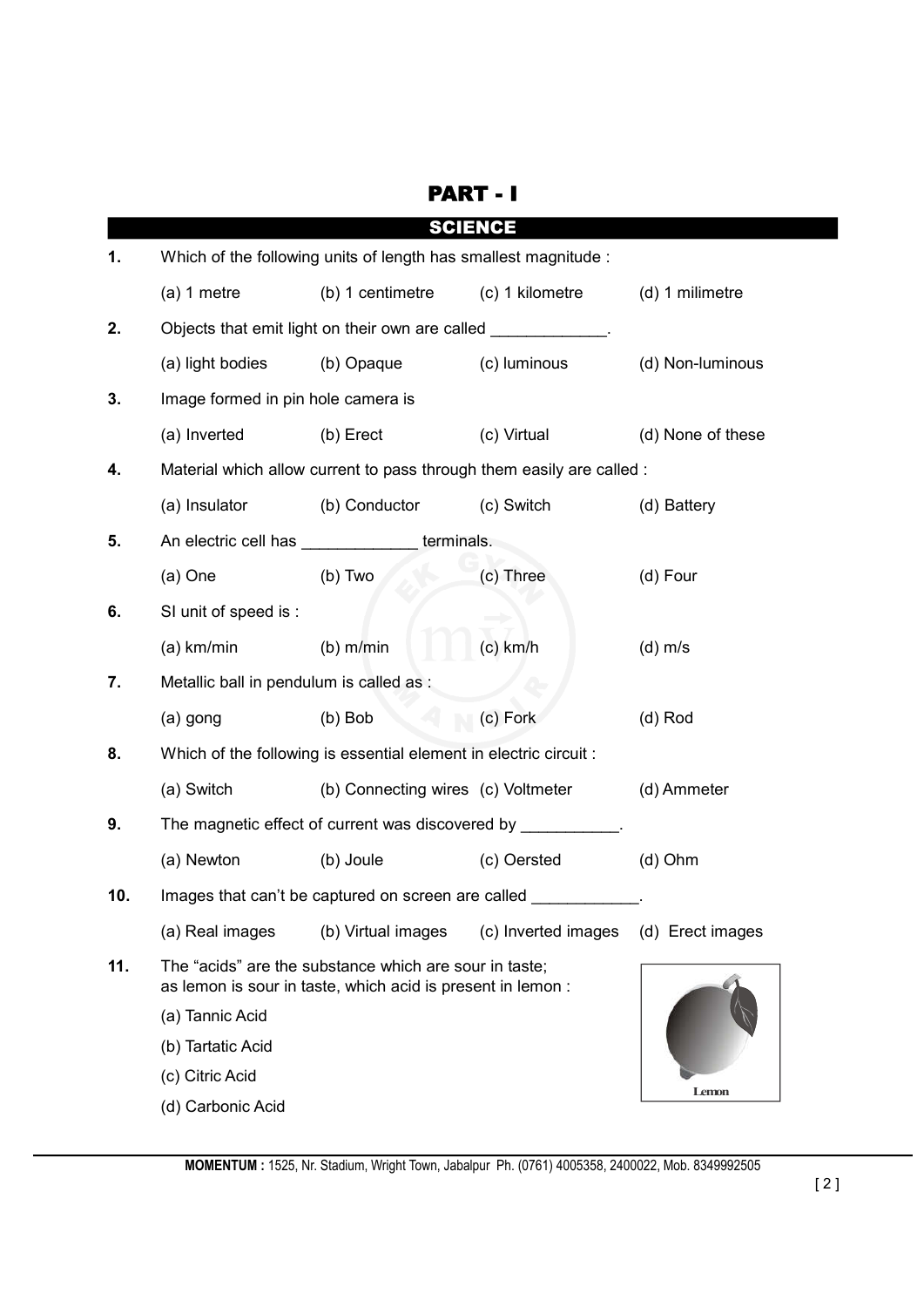|     | <b>SCIENCE</b>                                                                                                        |                                                                       |                     |                   |  |
|-----|-----------------------------------------------------------------------------------------------------------------------|-----------------------------------------------------------------------|---------------------|-------------------|--|
| 1.  | Which of the following units of length has smallest magnitude :                                                       |                                                                       |                     |                   |  |
|     | $(a) 1$ metre                                                                                                         | (b) 1 centimetre                                                      | (c) 1 kilometre     | (d) 1 milimetre   |  |
| 2.  |                                                                                                                       | Objects that emit light on their own are called ____________.         |                     |                   |  |
|     | (a) light bodies                                                                                                      | (b) Opaque                                                            | (c) luminous        | (d) Non-luminous  |  |
| 3.  | Image formed in pin hole camera is                                                                                    |                                                                       |                     |                   |  |
|     | (a) Inverted                                                                                                          | (b) Erect                                                             | (c) Virtual         | (d) None of these |  |
| 4.  |                                                                                                                       | Material which allow current to pass through them easily are called : |                     |                   |  |
|     | (a) Insulator                                                                                                         | (b) Conductor                                                         | (c) Switch          | (d) Battery       |  |
| 5.  |                                                                                                                       | An electric cell has _______________terminals.                        |                     |                   |  |
|     | $(a)$ One                                                                                                             | $(b)$ Two                                                             | (c) Three           | (d) Four          |  |
| 6.  | SI unit of speed is :                                                                                                 |                                                                       |                     |                   |  |
|     | $(a)$ km/min                                                                                                          | $(b)$ m/min                                                           | $(c)$ km/h          | $(d)$ m/s         |  |
| 7.  | Metallic ball in pendulum is called as :                                                                              |                                                                       |                     |                   |  |
|     | (a) gong                                                                                                              | $(b)$ Bob                                                             | (c) Fork            | $(d)$ Rod         |  |
| 8.  |                                                                                                                       | Which of the following is essential element in electric circuit :     |                     |                   |  |
|     | (a) Switch                                                                                                            | (b) Connecting wires (c) Voltmeter                                    |                     | (d) Ammeter       |  |
| 9.  | The magnetic effect of current was discovered by ___________                                                          |                                                                       |                     |                   |  |
|     | (a) Newton                                                                                                            | (b) Joule                                                             | (c) Oersted         | $(d)$ Ohm         |  |
| 10. | Images that can't be captured on screen are called                                                                    |                                                                       |                     |                   |  |
|     | (a) Real images                                                                                                       | (b) Virtual images                                                    | (c) Inverted images | (d) Erect images  |  |
| 11. | The "acids" are the substance which are sour in taste;<br>as lemon is sour in taste, which acid is present in lemon : |                                                                       |                     |                   |  |
|     | (a) Tannic Acid                                                                                                       |                                                                       |                     |                   |  |
|     | (b) Tartatic Acid                                                                                                     |                                                                       |                     |                   |  |
|     | (c) Citric Acid                                                                                                       |                                                                       |                     | Lemon             |  |
|     | (d) Carbonic Acid                                                                                                     |                                                                       |                     |                   |  |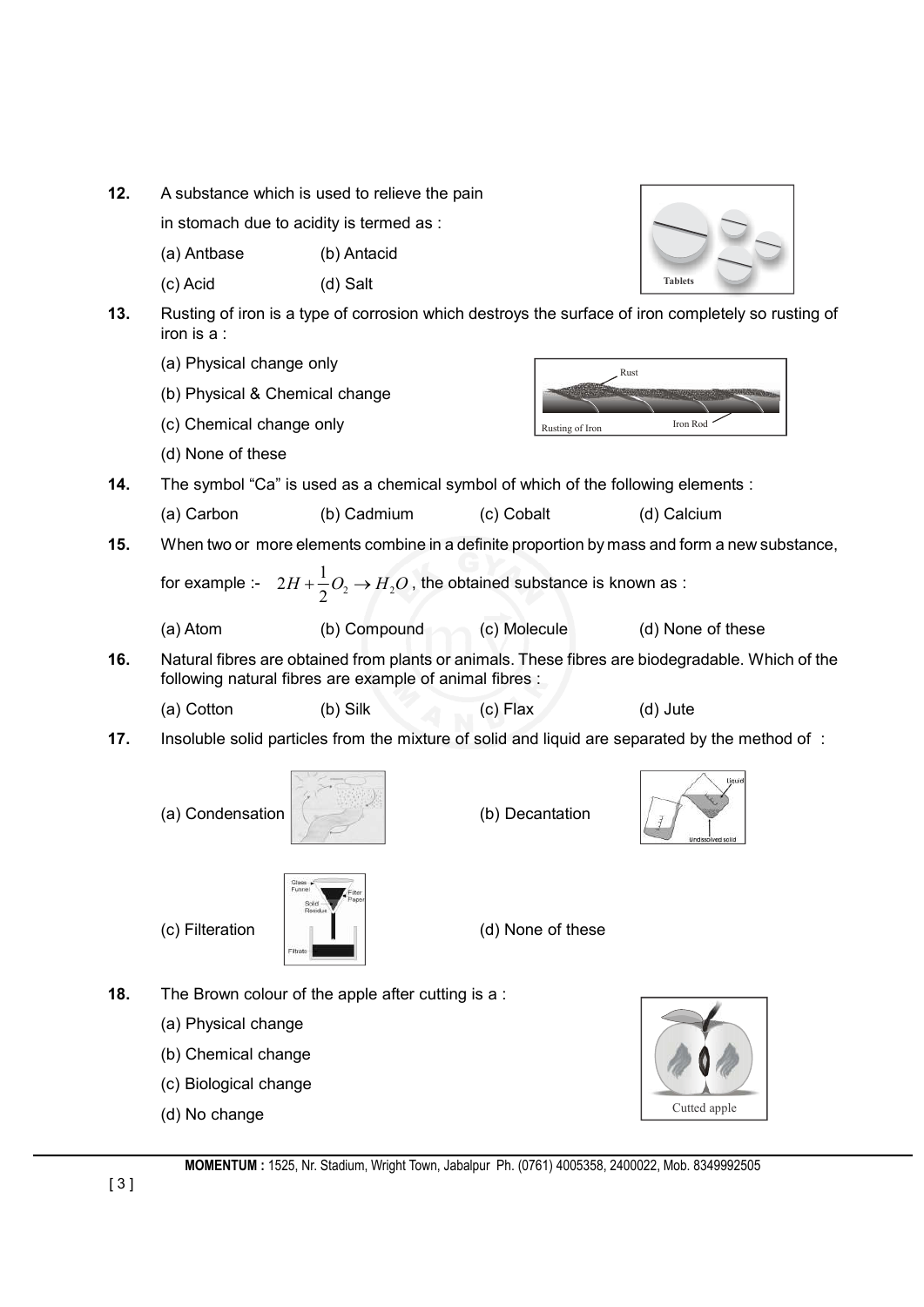| 12. | A substance which is used to relieve the pain |                                                                                              |                   |                                                                                                    |
|-----|-----------------------------------------------|----------------------------------------------------------------------------------------------|-------------------|----------------------------------------------------------------------------------------------------|
|     | in stomach due to acidity is termed as :      |                                                                                              |                   |                                                                                                    |
|     | (a) Antbase                                   | (b) Antacid                                                                                  |                   |                                                                                                    |
|     | (c) Acid                                      | (d) Salt                                                                                     |                   | <b>Tablets</b>                                                                                     |
| 13. | iron is a :                                   |                                                                                              |                   | Rusting of iron is a type of corrosion which destroys the surface of iron completely so rusting of |
|     | (a) Physical change only                      |                                                                                              |                   | Rust                                                                                               |
|     | (b) Physical & Chemical change                |                                                                                              |                   |                                                                                                    |
|     | (c) Chemical change only                      |                                                                                              | Rusting of Iron   | Iron Rod                                                                                           |
|     | (d) None of these                             |                                                                                              |                   |                                                                                                    |
| 14. |                                               | The symbol "Ca" is used as a chemical symbol of which of the following elements :            |                   |                                                                                                    |
|     | (a) Carbon                                    | (b) Cadmium                                                                                  | (c) Cobalt        | (d) Calcium                                                                                        |
| 15. |                                               |                                                                                              |                   | When two or more elements combine in a definite proportion by mass and form a new substance,       |
|     |                                               | for example :- $2H + \frac{1}{2}O_2 \rightarrow H_2O$ , the obtained substance is known as : |                   |                                                                                                    |
|     | (a) Atom                                      | (b) Compound                                                                                 | (c) Molecule      | (d) None of these                                                                                  |
| 16. |                                               | following natural fibres are example of animal fibres :                                      |                   | Natural fibres are obtained from plants or animals. These fibres are biodegradable. Which of the   |
|     | (a) Cotton                                    | (b) Silk                                                                                     | $(c)$ Flax        | (d) Jute                                                                                           |
| 17. |                                               |                                                                                              |                   | Insoluble solid particles from the mixture of solid and liquid are separated by the method of :    |
|     | (a) Condensation                              |                                                                                              | (b) Decantation   | Undissolved solic                                                                                  |
|     | (c) Filteration                               | Funne<br>ite.<br>Solid<br>Residue<br>Filtrate                                                | (d) None of these |                                                                                                    |
| 18. |                                               | The Brown colour of the apple after cutting is a:                                            |                   |                                                                                                    |
|     | (a) Physical change                           |                                                                                              |                   |                                                                                                    |
|     | (b) Chemical change                           |                                                                                              |                   |                                                                                                    |
|     | (c) Biological change                         |                                                                                              |                   |                                                                                                    |
|     | (d) No change                                 |                                                                                              |                   | Cutted apple                                                                                       |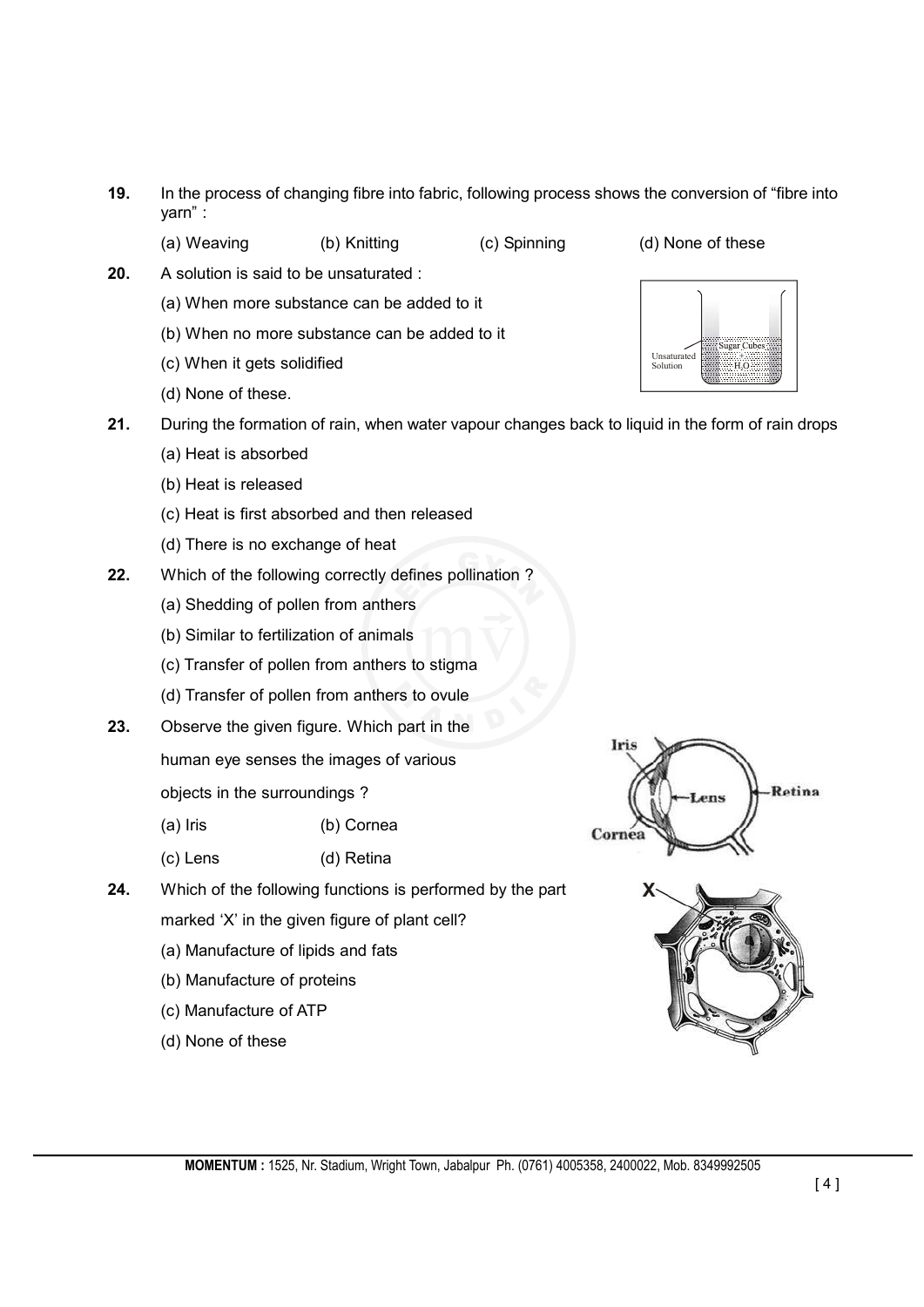- **19.** In the process of changing fibre into fabric, following process shows the conversion of "fibre into yarn" :
	-

(a) Weaving (b) Knitting (c) Spinning (d) None of these

Unsaturated Solution

- **20.** A solution is said to be unsaturated :
	- (a) When more substance can be added to it
	- (b) When no more substance can be added to it
	- (c) When it gets solidified
	- (d) None of these.
- **21.** During the formation of rain, when water vapour changes back to liquid in the form of rain drops
	- (a) Heat is absorbed
	- (b) Heat is released
	- (c) Heat is first absorbed and then released
	- (d) There is no exchange of heat
- **22.** Which of the following correctly defines pollination ?
	- (a) Shedding of pollen from anthers
	- (b) Similar to fertilization of animals
	- (c) Transfer of pollen from anthers to stigma
	- (d) Transfer of pollen from anthers to ovule
- **23.** Observe the given figure. Which part in the
	- human eye senses the images of various

objects in the surroundings ?

- (a) Iris (b) Cornea
- (c) Lens (d) Retina
- **24.** Which of the following functions is performed by the part
	- marked 'X' in the given figure of plant cell?
	- (a) Manufacture of lipids and fats
	- (b) Manufacture of proteins
	- (c) Manufacture of ATP
	- (d) None of these



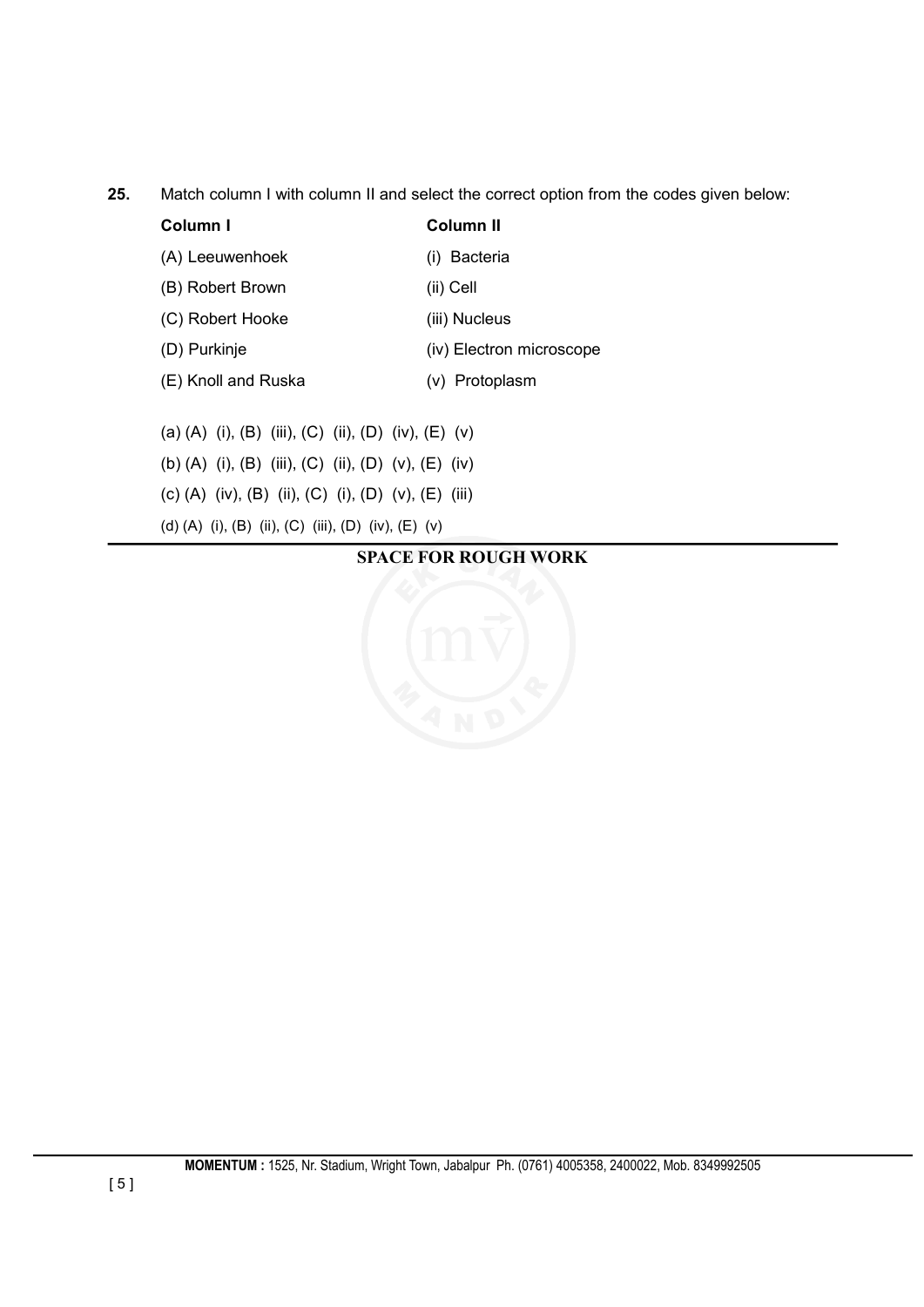**25.** Match column I with column II and select the correct option from the codes given below:

| Column I            | Column II                |
|---------------------|--------------------------|
| (A) Leeuwenhoek     | (i) Bacteria             |
| (B) Robert Brown    | (ii) Cell                |
| (C) Robert Hooke    | (iii) Nucleus            |
| (D) Purkinje        | (iv) Electron microscope |
| (E) Knoll and Ruska | (v) Protoplasm           |
|                     |                          |

(a) (A) (i), (B) (iii), (C) (ii), (D) (iv), (E) (v) (b) (A) (i), (B) (iii), (C) (ii), (D) (v), (E) (iv) (c) (A) (iv), (B) (ii), (C) (i), (D) (v), (E) (iii) (d) (A) (i), (B) (ii), (C) (iii), (D) (iv), (E) (v)

### **SPACE FOR ROUGH WORK**

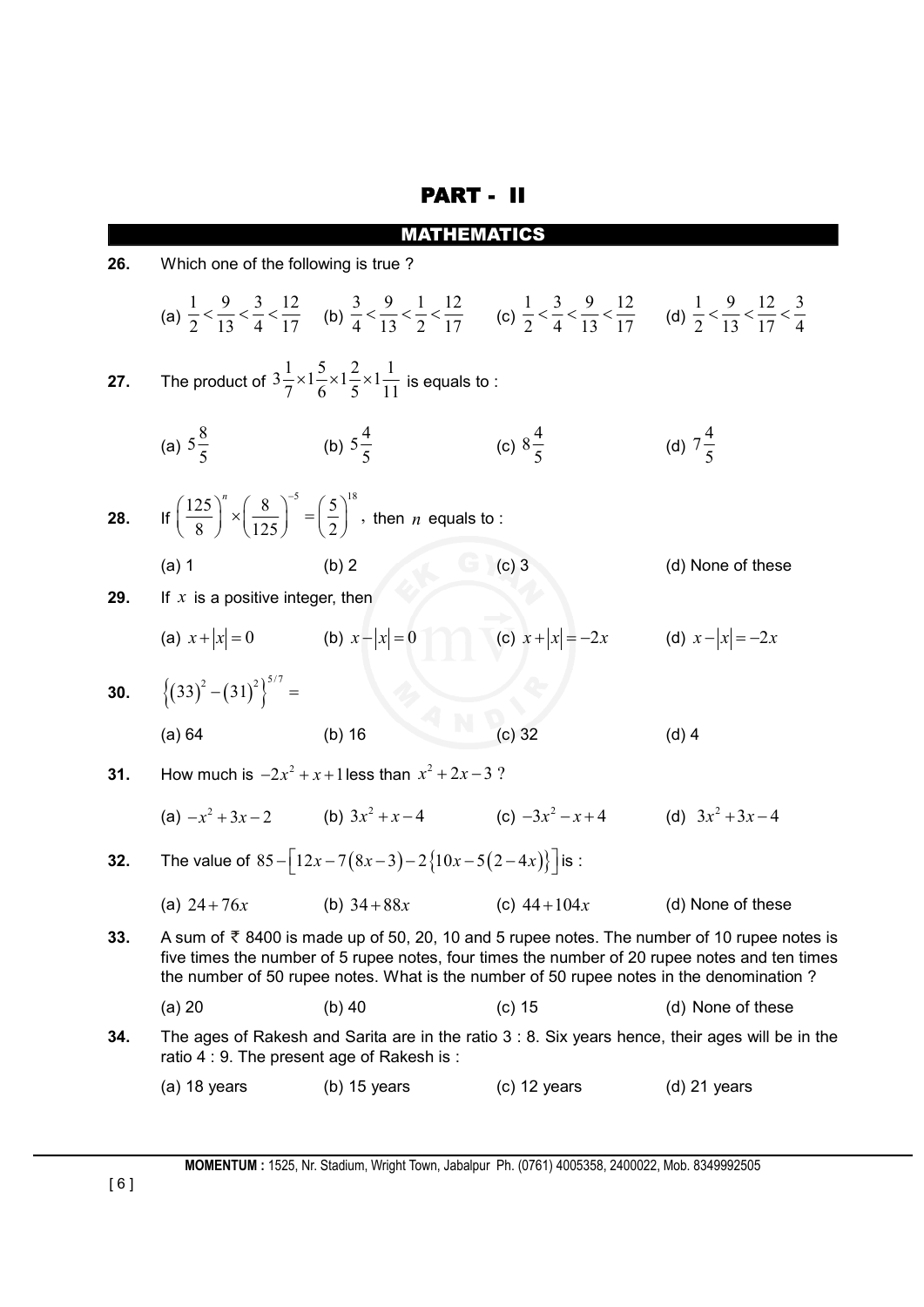# PART - II

| 26. | Which one of the following is true?                                                                                                                                                                                                                                                                    |                                                                                                                                                                                                                                                             |                                     |                     |
|-----|--------------------------------------------------------------------------------------------------------------------------------------------------------------------------------------------------------------------------------------------------------------------------------------------------------|-------------------------------------------------------------------------------------------------------------------------------------------------------------------------------------------------------------------------------------------------------------|-------------------------------------|---------------------|
|     |                                                                                                                                                                                                                                                                                                        | (a) $\frac{1}{2} < \frac{9}{13} < \frac{3}{4} < \frac{12}{17}$ (b) $\frac{3}{4} < \frac{9}{13} < \frac{1}{2} < \frac{12}{17}$ (c) $\frac{1}{2} < \frac{3}{4} < \frac{9}{13} < \frac{12}{17}$ (d) $\frac{1}{2} < \frac{9}{13} < \frac{12}{17} < \frac{3}{4}$ |                                     |                     |
| 27. |                                                                                                                                                                                                                                                                                                        | The product of $3\frac{1}{7}\times1\frac{5}{6}\times1\frac{2}{5}\times1\frac{1}{11}$ is equals to :                                                                                                                                                         |                                     |                     |
|     | (a) $5\frac{8}{5}$                                                                                                                                                                                                                                                                                     | (b) $5\frac{4}{5}$                                                                                                                                                                                                                                          | (c) $8\frac{4}{5}$                  | (d) $7\frac{4}{5}$  |
| 28. |                                                                                                                                                                                                                                                                                                        | If $\left(\frac{125}{8}\right)^n \times \left(\frac{8}{125}\right)^n = \left(\frac{5}{2}\right)^n$ , then <i>n</i> equals to :                                                                                                                              |                                     |                     |
|     | $(a)$ 1                                                                                                                                                                                                                                                                                                | U.<br>(b) 2                                                                                                                                                                                                                                                 | $(c)$ 3                             | (d) None of these   |
| 29. | If $x$ is a positive integer, then                                                                                                                                                                                                                                                                     |                                                                                                                                                                                                                                                             |                                     |                     |
|     | (a) $x+ x =0$ (b) $x- x =0$                                                                                                                                                                                                                                                                            |                                                                                                                                                                                                                                                             | (c) $x+ x  = -2x$ (d) $x- x  = -2x$ |                     |
| 30. | $\{(33)^2-(31)^2\}^{5/7}=$                                                                                                                                                                                                                                                                             |                                                                                                                                                                                                                                                             |                                     |                     |
|     | (a) 64                                                                                                                                                                                                                                                                                                 | $(b)$ 16                                                                                                                                                                                                                                                    | $(c)$ 32                            | $(d)$ 4             |
| 31. | How much is $-2x^2 + x + 1$ less than $x^2 + 2x - 3$ ?                                                                                                                                                                                                                                                 |                                                                                                                                                                                                                                                             |                                     |                     |
|     |                                                                                                                                                                                                                                                                                                        | (a) $-x^2+3x-2$ (b) $3x^2+x-4$ (c) $-3x^2-x+4$                                                                                                                                                                                                              |                                     | (d) $3x^2 + 3x - 4$ |
| 32. |                                                                                                                                                                                                                                                                                                        | The value of $85 - [12x - 7(8x-3) - 2(10x-5(2-4x))]$ is :                                                                                                                                                                                                   |                                     |                     |
|     | (a) $24 + 76x$                                                                                                                                                                                                                                                                                         | (b) $34+88x$                                                                                                                                                                                                                                                | (c) $44+104x$                       | (d) None of these   |
| 33. | A sum of $\overline{\xi}$ 8400 is made up of 50, 20, 10 and 5 rupee notes. The number of 10 rupee notes is<br>five times the number of 5 rupee notes, four times the number of 20 rupee notes and ten times<br>the number of 50 rupee notes. What is the number of 50 rupee notes in the denomination? |                                                                                                                                                                                                                                                             |                                     |                     |
|     | $(a)$ 20                                                                                                                                                                                                                                                                                               | $(b)$ 40                                                                                                                                                                                                                                                    | $(c)$ 15                            | (d) None of these   |
| 34. |                                                                                                                                                                                                                                                                                                        | The ages of Rakesh and Sarita are in the ratio 3 : 8. Six years hence, their ages will be in the<br>ratio 4 : 9. The present age of Rakesh is :                                                                                                             |                                     |                     |
|     | $(a)$ 18 years                                                                                                                                                                                                                                                                                         | $(b)$ 15 years                                                                                                                                                                                                                                              | $(c)$ 12 years                      | $(d)$ 21 years      |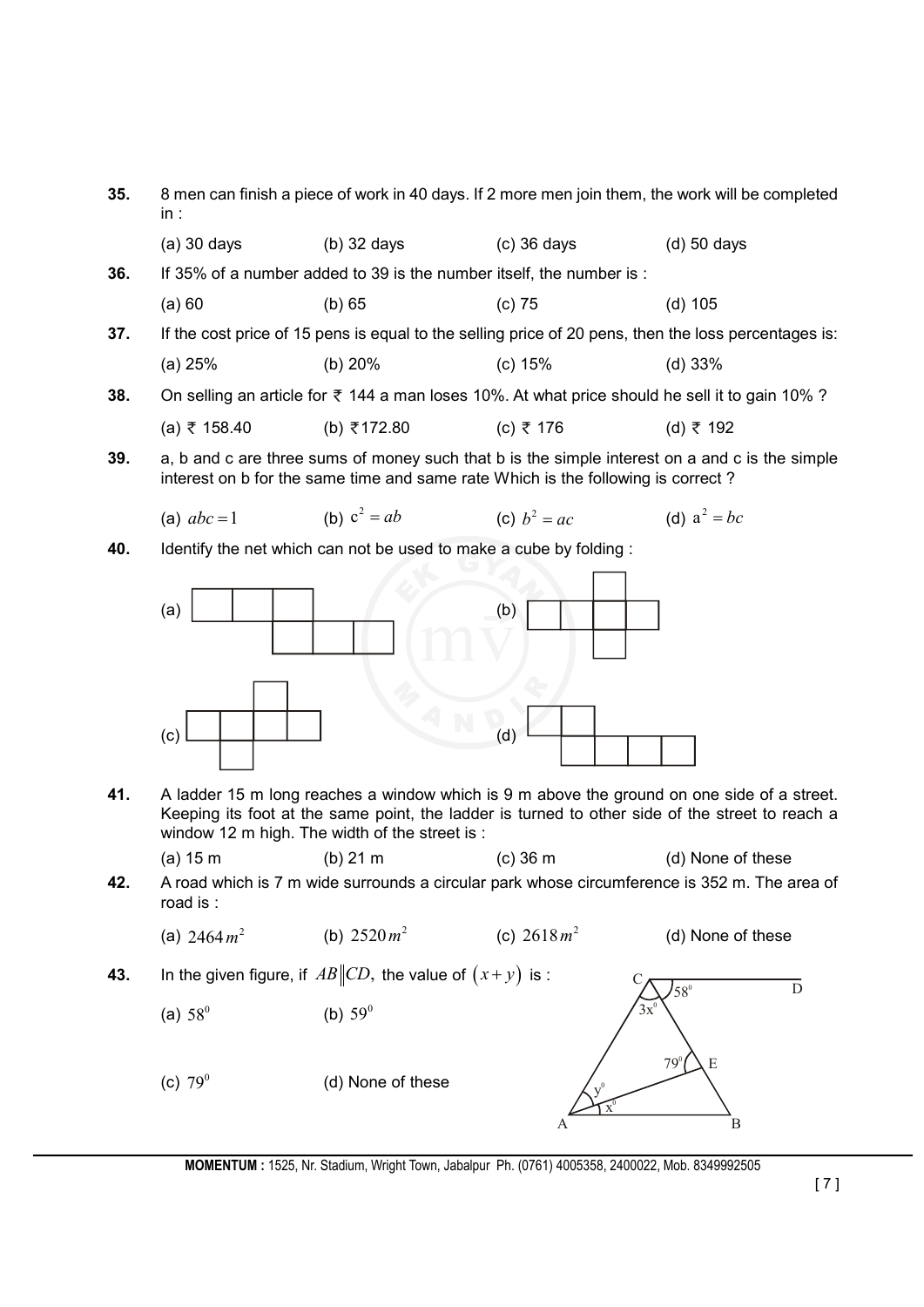| 35. | 8 men can finish a piece of work in 40 days. If 2 more men join them, the work will be completed<br>in: |                                                                                  |                |                                                                                                                                                                                               |
|-----|---------------------------------------------------------------------------------------------------------|----------------------------------------------------------------------------------|----------------|-----------------------------------------------------------------------------------------------------------------------------------------------------------------------------------------------|
|     | $(a)$ 30 days                                                                                           | $(b)$ 32 days                                                                    | $(c)$ 36 days  | $(d)$ 50 days                                                                                                                                                                                 |
| 36. |                                                                                                         | If 35% of a number added to 39 is the number itself, the number is :             |                |                                                                                                                                                                                               |
|     | (a) 60                                                                                                  | (b) 65                                                                           | $(c)$ 75       | $(d)$ 105                                                                                                                                                                                     |
| 37. |                                                                                                         |                                                                                  |                | If the cost price of 15 pens is equal to the selling price of 20 pens, then the loss percentages is:                                                                                          |
|     | (a) 25%                                                                                                 | (b) 20%                                                                          | (c) 15%        | (d) 33%                                                                                                                                                                                       |
| 38. |                                                                                                         |                                                                                  |                | On selling an article for $\bar{\tau}$ 144 a man loses 10%. At what price should he sell it to gain 10%?                                                                                      |
|     | (a) ₹ 158.40                                                                                            | (b) ₹172.80                                                                      | (c) ₹ 176      | (d) ₹ 192                                                                                                                                                                                     |
| 39. |                                                                                                         | interest on b for the same time and same rate Which is the following is correct? |                | a, b and c are three sums of money such that b is the simple interest on a and c is the simple                                                                                                |
|     | (a) $abc = 1$                                                                                           | (b) $c^2 = ab$                                                                   | (c) $b^2 = ac$ | (d) $a^2 = bc$                                                                                                                                                                                |
| 40. |                                                                                                         | Identify the net which can not be used to make a cube by folding:                |                |                                                                                                                                                                                               |
|     |                                                                                                         |                                                                                  |                |                                                                                                                                                                                               |
|     | (a)                                                                                                     |                                                                                  | (b)            |                                                                                                                                                                                               |
|     |                                                                                                         |                                                                                  |                |                                                                                                                                                                                               |
|     |                                                                                                         |                                                                                  |                |                                                                                                                                                                                               |
|     |                                                                                                         |                                                                                  |                |                                                                                                                                                                                               |
|     | (c)                                                                                                     |                                                                                  | (d)            |                                                                                                                                                                                               |
|     |                                                                                                         |                                                                                  |                |                                                                                                                                                                                               |
| 41. |                                                                                                         | window 12 m high. The width of the street is:                                    |                | A ladder 15 m long reaches a window which is 9 m above the ground on one side of a street.<br>Keeping its foot at the same point, the ladder is turned to other side of the street to reach a |
|     | (a) 15 m                                                                                                | $(b)$ 21 m                                                                       | $(c)$ 36 m     | (d) None of these                                                                                                                                                                             |
| 42. | road is:                                                                                                |                                                                                  |                | A road which is 7 m wide surrounds a circular park whose circumference is 352 m. The area of                                                                                                  |
|     | (a) $2464 m^2$                                                                                          | (b) $2520 m^2$                                                                   | (c) $2618 m^2$ | (d) None of these                                                                                                                                                                             |
| 43. |                                                                                                         | In the given figure, if $AB  CD$ , the value of $(x+y)$ is:                      |                | $\mathbf D$<br>$58^{\circ}$                                                                                                                                                                   |
|     | (a) $58^{\circ}$                                                                                        | (b) $59^0$                                                                       | 3x             |                                                                                                                                                                                               |
|     | (c) $79^0$                                                                                              | (d) None of these                                                                | A              | $79^{\circ}$<br>E<br>$\, {\bf B}$                                                                                                                                                             |

**MOMENTUM :** 1525, Nr. Stadium, Wright Town, Jabalpur Ph. (0761) 4005358, 2400022, Mob. 8349992505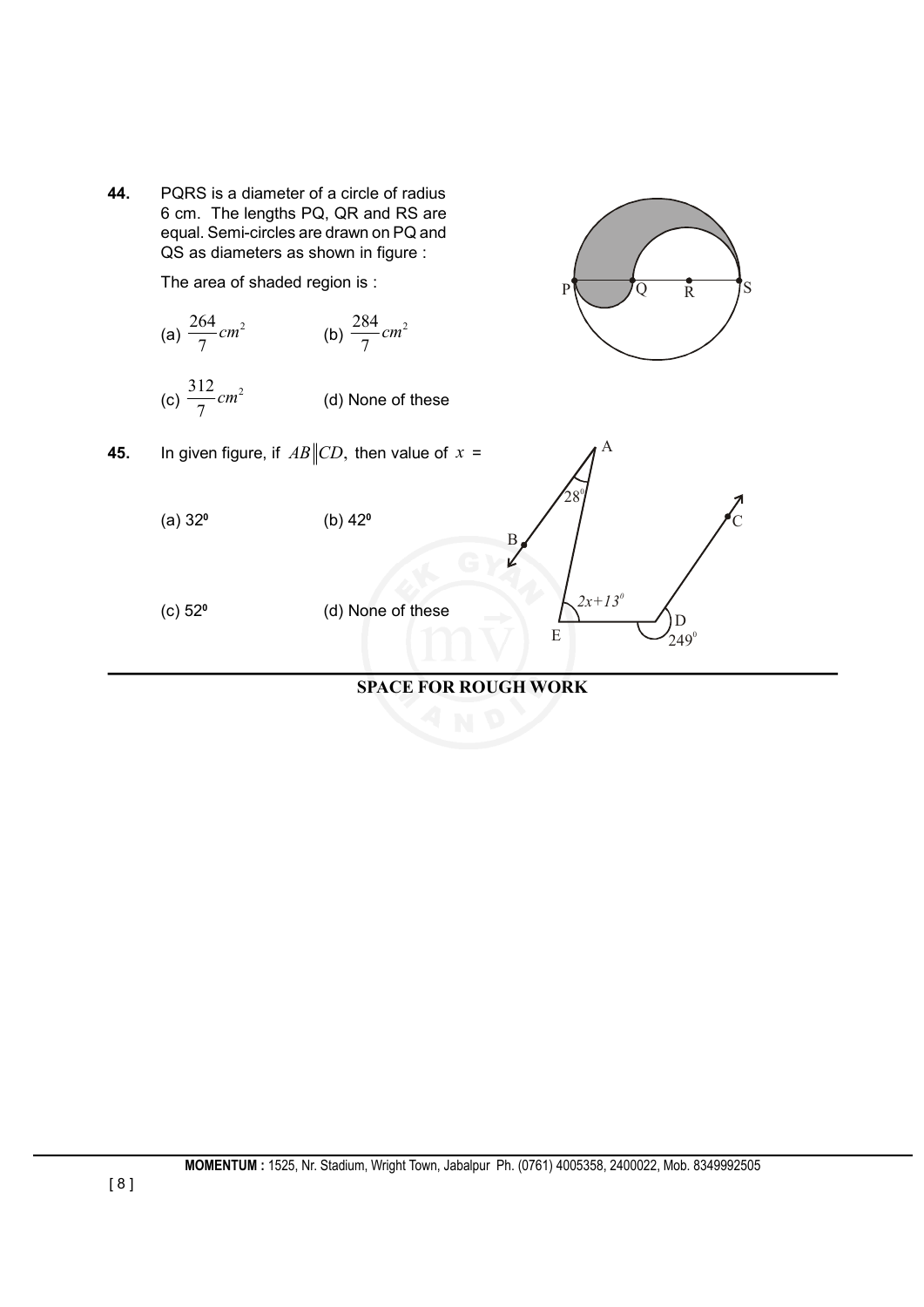

### **SPACE FOR ROUGH WORK**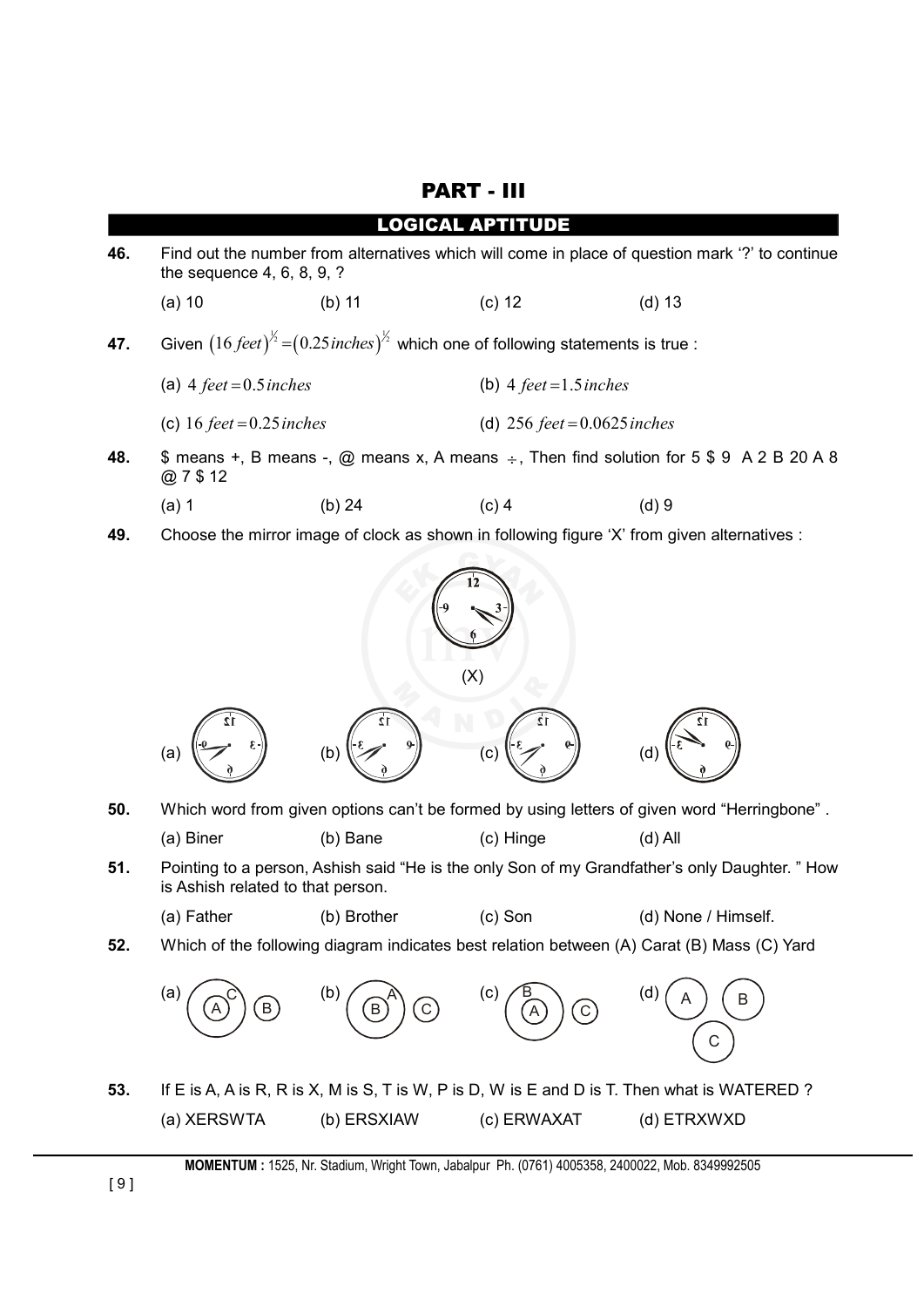## PART - III